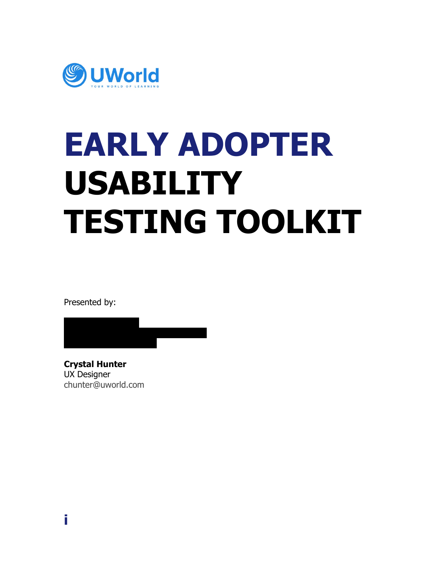

# **EARLY ADOPTER USABILITY TESTING TOOLKIT**

Presented by:



**Crystal Hunter** UX Designer [chunter@uworld.com](mailto:chunter@uworld.com)

**i**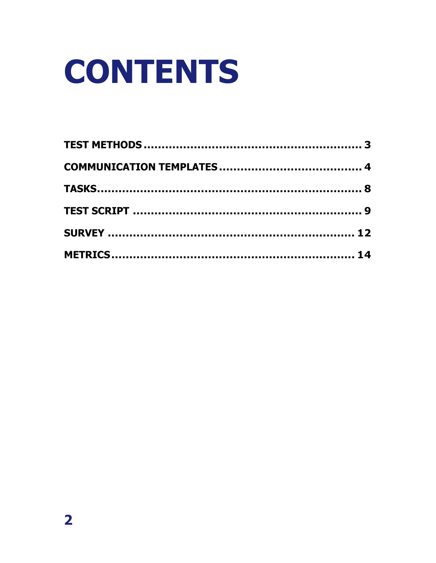# **CONTENTS**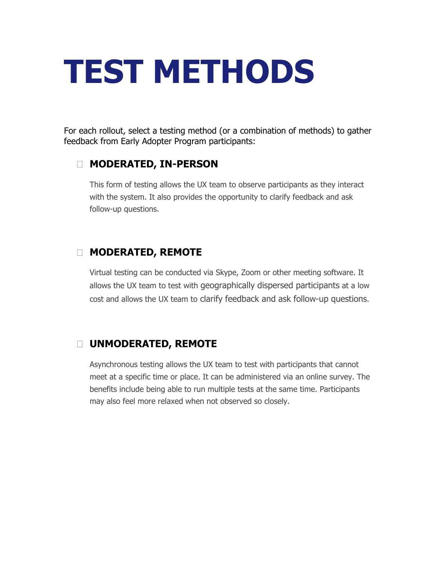## <span id="page-2-0"></span>**TEST METHODS**

For each rollout, select a testing method (or a combination of methods) to gather feedback from Early Adopter Program participants:

#### **MODERATED, IN-PERSON**

This form of testing allows the UX team to observe participants as they interact with the system. It also provides the opportunity to clarify feedback and ask follow-up questions.

#### **MODERATED, REMOTE**

Virtual testing can be conducted via Skype, Zoom or other meeting software. It allows the UX team to test with geographically dispersed participants at a low cost and allows the UX team to clarify feedback and ask follow-up questions.

#### **UNMODERATED, REMOTE**

Asynchronous testing allows the UX team to test with participants that cannot meet at a specific time or place. It can be administered via an online survey. The benefits include being able to run multiple tests at the same time. Participants may also feel more relaxed when not observed so closely.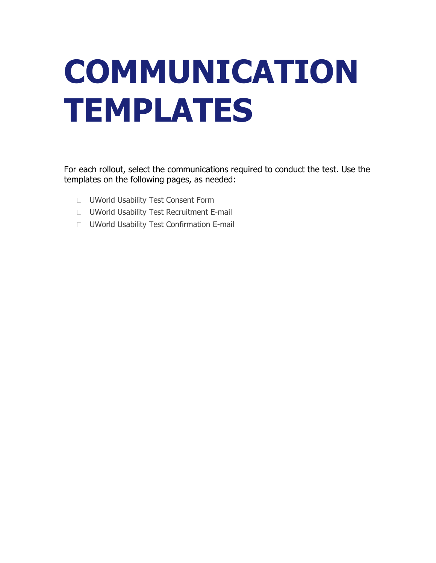# <span id="page-3-0"></span>**COMMUNICATION TEMPLATES**

For each rollout, select the communications required to conduct the test. Use the templates on the following pages, as needed:

- **UWorld Usability Test Consent Form**
- UWorld Usability Test Recruitment E-mail
- UWorld Usability Test Confirmation E-mail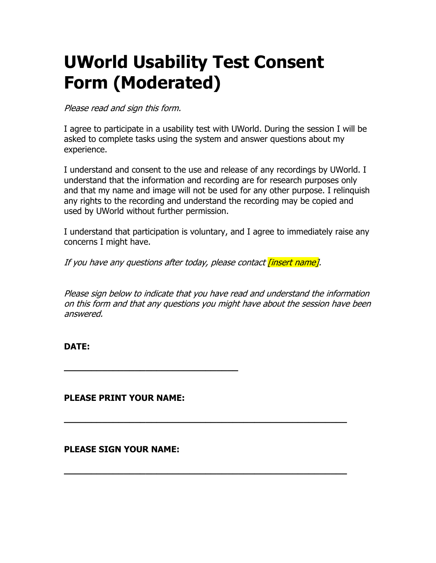### **UWorld Usability Test Consent Form (Moderated)**

Please read and sign this form.

I agree to participate in a usability test with UWorld. During the session I will be asked to complete tasks using the system and answer questions about my experience.

I understand and consent to the use and release of any recordings by UWorld. I understand that the information and recording are for research purposes only and that my name and image will not be used for any other purpose. I relinquish any rights to the recording and understand the recording may be copied and used by UWorld without further permission.

I understand that participation is voluntary, and I agree to immediately raise any concerns I might have.

If you have any questions after today, please contact *finsert name].* 

Please sign below to indicate that you have read and understand the information on this form and that any questions you might have about the session have been answered.

**\_\_\_\_\_\_\_\_\_\_\_\_\_\_\_\_\_\_\_\_\_\_\_\_\_\_\_\_\_\_\_\_\_\_\_\_\_\_\_\_\_\_\_\_\_\_\_\_\_\_\_\_** 

**\_\_\_\_\_\_\_\_\_\_\_\_\_\_\_\_\_\_\_\_\_\_\_\_\_\_\_\_\_\_\_\_\_\_\_\_\_\_\_\_\_\_\_\_\_\_\_\_\_\_\_\_** 

#### **DATE:**

**PLEASE PRINT YOUR NAME:** 

**\_\_\_\_\_\_\_\_\_\_\_\_\_\_\_\_\_\_\_\_\_\_\_\_\_\_\_\_\_\_\_\_** 

#### **PLEASE SIGN YOUR NAME:**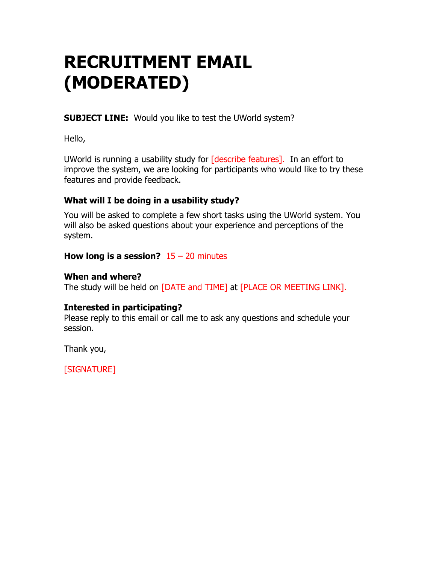### **RECRUITMENT EMAIL (MODERATED)**

**SUBJECT LINE:** Would you like to test the UWorld system?

Hello,

UWorld is running a usability study for [describe features]. In an effort to improve the system, we are looking for participants who would like to try these features and provide feedback.

#### **What will I be doing in a usability study?**

You will be asked to complete a few short tasks using the UWorld system. You will also be asked questions about your experience and perceptions of the system.

#### **How long is a session?** 15 – 20 minutes

#### **When and where?**

The study will be held on [DATE and TIME] at [PLACE OR MEETING LINK].

#### **Interested in participating?**

Please reply to this email or call me to ask any questions and schedule your session.

Thank you,

[SIGNATURE]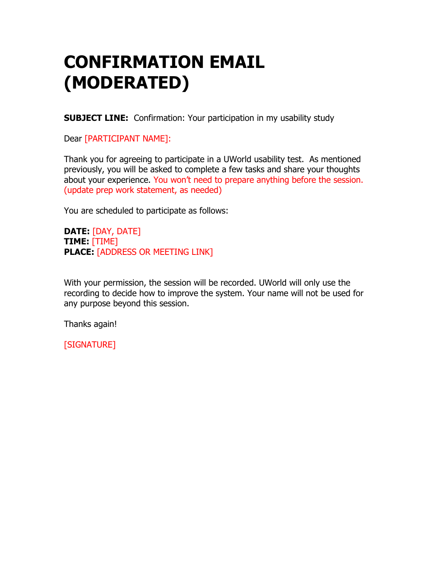### **CONFIRMATION EMAIL (MODERATED)**

**SUBJECT LINE:** Confirmation: Your participation in my usability study

Dear [PARTICIPANT NAME]:

Thank you for agreeing to participate in a UWorld usability test. As mentioned previously, you will be asked to complete a few tasks and share your thoughts about your experience. You won't need to prepare anything before the session. (update prep work statement, as needed)

You are scheduled to participate as follows:

**DATE:** [DAY, DATE] **TIME:** [TIME] **PLACE:** [ADDRESS OR MEETING LINK]

With your permission, the session will be recorded. UWorld will only use the recording to decide how to improve the system. Your name will not be used for any purpose beyond this session.

Thanks again!

[SIGNATURE]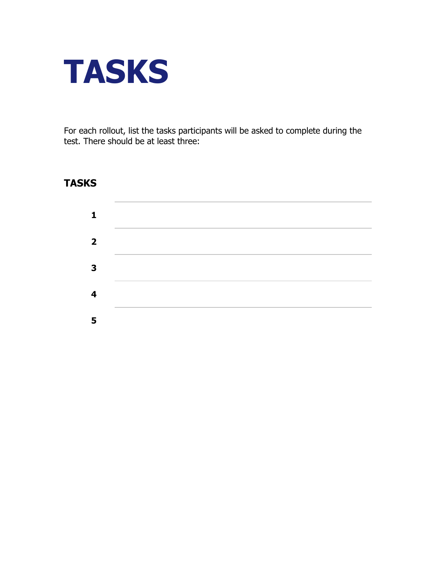<span id="page-7-0"></span>

For each rollout, list the tasks participants will be asked to complete during the test. There should be at least three:

#### **TASKS**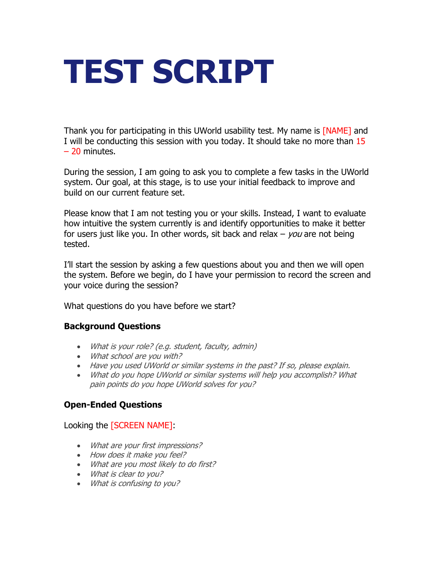## <span id="page-8-0"></span>**TEST SCRIPT**

Thank you for participating in this UWorld usability test. My name is **[NAME]** and I will be conducting this session with you today. It should take no more than 15 – 20 minutes.

During the session, I am going to ask you to complete a few tasks in the UWorld system. Our goal, at this stage, is to use your initial feedback to improve and build on our current feature set.

Please know that I am not testing you or your skills. Instead, I want to evaluate how intuitive the system currently is and identify opportunities to make it better for users just like you. In other words, sit back and relax  $-$  *you* are not being tested.

I'll start the session by asking a few questions about you and then we will open the system. Before we begin, do I have your permission to record the screen and your voice during the session?

What questions do you have before we start?

#### **Background Questions**

- What is your role? (e.g. student, faculty, admin)
- What school are you with?
- Have you used UWorld or similar systems in the past? If so, please explain.
- What do you hope UWorld or similar systems will help you accomplish? What pain points do you hope UWorld solves for you?

#### **Open-Ended Questions**

Looking the [SCREEN NAME]:

- What are your first impressions?
- How does it make you feel?
- What are you most likely to do first?
- What is clear to you?
- What is confusing to you?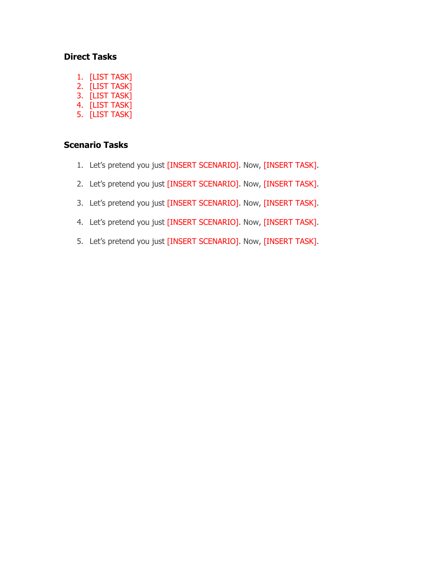#### **Direct Tasks**

- 1. [LIST TASK]
- 2. [LIST TASK]
- 3. [LIST TASK]
- 4. [LIST TASK]
- 5. [LIST TASK]

#### **Scenario Tasks**

- 1. Let's pretend you just [INSERT SCENARIO]. Now, [INSERT TASK].
- 2. Let's pretend you just [INSERT SCENARIO]. Now, [INSERT TASK].
- 3. Let's pretend you just [INSERT SCENARIO]. Now, [INSERT TASK].
- 4. Let's pretend you just [INSERT SCENARIO]. Now, [INSERT TASK].
- 5. Let's pretend you just [INSERT SCENARIO]. Now, [INSERT TASK].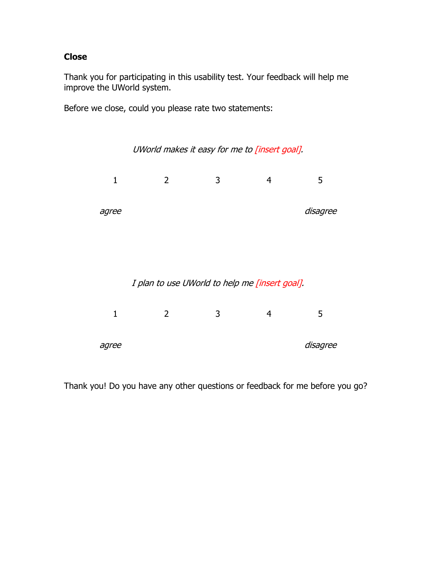#### **Close**

Thank you for participating in this usability test. Your feedback will help me improve the UWorld system.

Before we close, could you please rate two statements:



Thank you! Do you have any other questions or feedback for me before you go?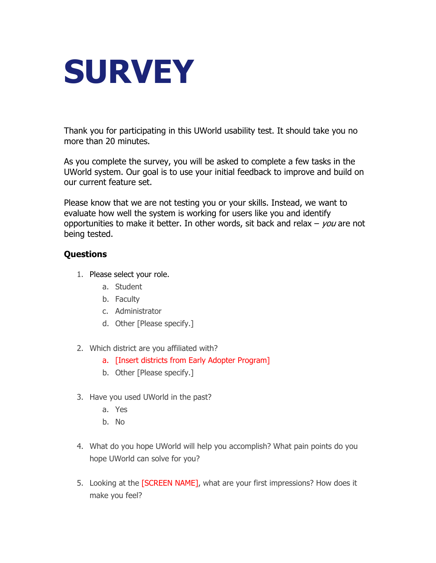<span id="page-11-0"></span>

Thank you for participating in this UWorld usability test. It should take you no more than 20 minutes.

As you complete the survey, you will be asked to complete a few tasks in the UWorld system. Our goal is to use your initial feedback to improve and build on our current feature set.

Please know that we are not testing you or your skills. Instead, we want to evaluate how well the system is working for users like you and identify opportunities to make it better. In other words, sit back and relax  $-$  you are not being tested.

#### **Questions**

- 1. Please select your role.
	- a. Student
	- b. Faculty
	- c. Administrator
	- d. Other [Please specify.]
- 2. Which district are you affiliated with?
	- a. [Insert districts from Early Adopter Program]
	- b. Other [Please specify.]
- 3. Have you used UWorld in the past?
	- a. Yes
	- b. No
- 4. What do you hope UWorld will help you accomplish? What pain points do you hope UWorld can solve for you?
- 5. Looking at the [SCREEN NAME], what are your first impressions? How does it make you feel?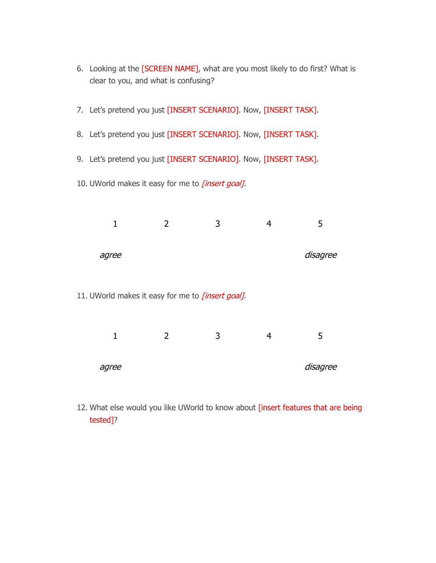- 6. Looking at the [SCREEN NAME], what are you most likely to do first? What is clear to you, and what is confusing?
- 7. Let's pretend you just [INSERT SCENARIO]. Now, [INSERT TASK].
- 8. Let's pretend you just [INSERT SCENARIO]. Now, [INSERT TASK].
- 9. Let's pretend you just [INSERT SCENARIO]. Now, [INSERT TASK].
- 10. UWorld makes it easy for me to *[insert goal].*

| agree |  | disagree |
|-------|--|----------|

11. UWorld makes it easy for me to *[insert goal].* 

|       | ∽ | ∽ |          |
|-------|---|---|----------|
|       |   |   |          |
| agree |   |   | disagree |

12. What else would you like UWorld to know about [insert features that are being tested]?